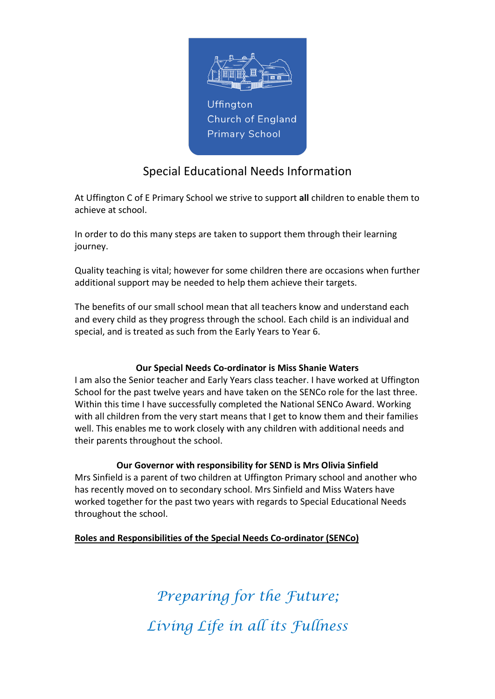

# Special Educational Needs Information

At Uffington C of E Primary School we strive to support all children to enable them to achieve at school.

In order to do this many steps are taken to support them through their learning journey.

Quality teaching is vital; however for some children there are occasions when further additional support may be needed to help them achieve their targets.

The benefits of our small school mean that all teachers know and understand each and every child as they progress through the school. Each child is an individual and special, and is treated as such from the Early Years to Year 6.

# Our Special Needs Co-ordinator is Miss Shanie Waters

I am also the Senior teacher and Early Years class teacher. I have worked at Uffington School for the past twelve years and have taken on the SENCo role for the last three. Within this time I have successfully completed the National SENCo Award. Working with all children from the very start means that I get to know them and their families well. This enables me to work closely with any children with additional needs and their parents throughout the school.

# Our Governor with responsibility for SEND is Mrs Olivia Sinfield

Mrs Sinfield is a parent of two children at Uffington Primary school and another who has recently moved on to secondary school. Mrs Sinfield and Miss Waters have worked together for the past two years with regards to Special Educational Needs throughout the school.

# Roles and Responsibilities of the Special Needs Co-ordinator (SENCo)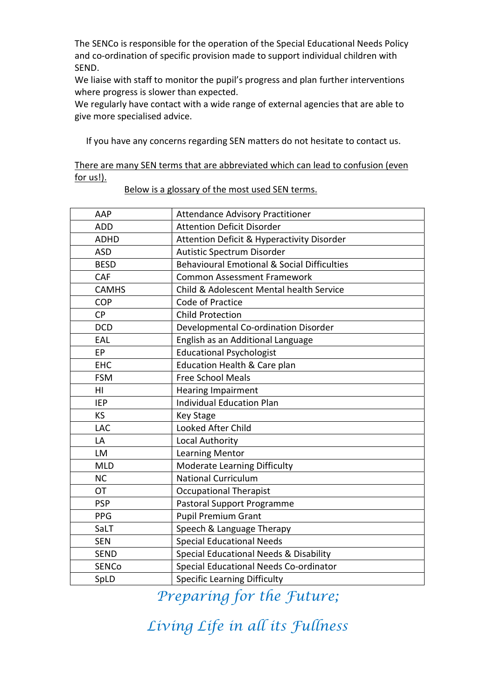The SENCo is responsible for the operation of the Special Educational Needs Policy and co-ordination of specific provision made to support individual children with SEND.

We liaise with staff to monitor the pupil's progress and plan further interventions where progress is slower than expected.

We regularly have contact with a wide range of external agencies that are able to give more specialised advice.

If you have any concerns regarding SEN matters do not hesitate to contact us.

| There are many SEN terms that are abbreviated which can lead to confusion (even |  |  |  |  |
|---------------------------------------------------------------------------------|--|--|--|--|
| for us!).                                                                       |  |  |  |  |

| AAP          | <b>Attendance Advisory Practitioner</b>                |  |  |  |
|--------------|--------------------------------------------------------|--|--|--|
| ADD          | <b>Attention Deficit Disorder</b>                      |  |  |  |
| <b>ADHD</b>  | <b>Attention Deficit &amp; Hyperactivity Disorder</b>  |  |  |  |
| <b>ASD</b>   | Autistic Spectrum Disorder                             |  |  |  |
| <b>BESD</b>  | <b>Behavioural Emotional &amp; Social Difficulties</b> |  |  |  |
| CAF          | <b>Common Assessment Framework</b>                     |  |  |  |
| <b>CAMHS</b> | Child & Adolescent Mental health Service               |  |  |  |
| <b>COP</b>   | Code of Practice                                       |  |  |  |
| <b>CP</b>    | <b>Child Protection</b>                                |  |  |  |
| <b>DCD</b>   | Developmental Co-ordination Disorder                   |  |  |  |
| EAL          | English as an Additional Language                      |  |  |  |
| EP           | <b>Educational Psychologist</b>                        |  |  |  |
| <b>EHC</b>   | Education Health & Care plan                           |  |  |  |
| <b>FSM</b>   | <b>Free School Meals</b>                               |  |  |  |
| HI           | <b>Hearing Impairment</b>                              |  |  |  |
| <b>IEP</b>   | <b>Individual Education Plan</b>                       |  |  |  |
| KS           | <b>Key Stage</b>                                       |  |  |  |
| <b>LAC</b>   | Looked After Child                                     |  |  |  |
| LA           | Local Authority                                        |  |  |  |
| LM           | <b>Learning Mentor</b>                                 |  |  |  |
| <b>MLD</b>   | <b>Moderate Learning Difficulty</b>                    |  |  |  |
| <b>NC</b>    | <b>National Curriculum</b>                             |  |  |  |
| <b>OT</b>    | <b>Occupational Therapist</b>                          |  |  |  |
| <b>PSP</b>   | Pastoral Support Programme                             |  |  |  |
| PPG          | <b>Pupil Premium Grant</b>                             |  |  |  |
| SaLT         | Speech & Language Therapy                              |  |  |  |
| <b>SEN</b>   | <b>Special Educational Needs</b>                       |  |  |  |
| <b>SEND</b>  | Special Educational Needs & Disability                 |  |  |  |
| SENCo        | Special Educational Needs Co-ordinator                 |  |  |  |
| SpLD         | <b>Specific Learning Difficulty</b>                    |  |  |  |
|              |                                                        |  |  |  |

Below is a glossary of the most used SEN terms.

Preparing for the Future;

Living Life in all its Fullness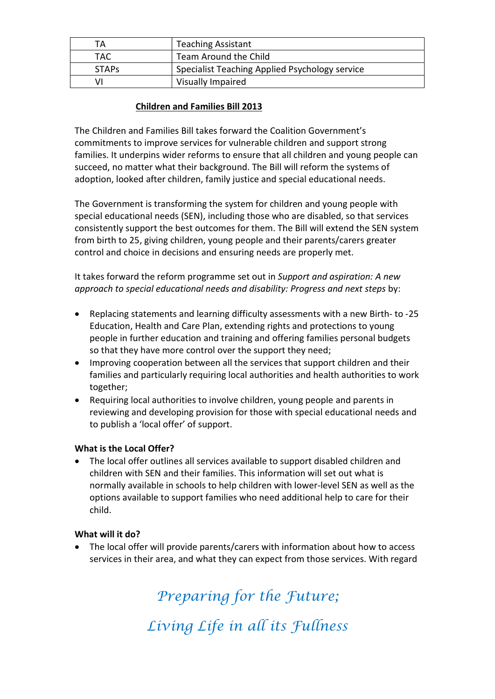| TА           | <b>Teaching Assistant</b>                      |  |
|--------------|------------------------------------------------|--|
| TAC.         | Team Around the Child                          |  |
| <b>STAPS</b> | Specialist Teaching Applied Psychology service |  |
| VI           | Visually Impaired                              |  |

# Children and Families Bill 2013

The Children and Families Bill takes forward the Coalition Government's commitments to improve services for vulnerable children and support strong families. It underpins wider reforms to ensure that all children and young people can succeed, no matter what their background. The Bill will reform the systems of adoption, looked after children, family justice and special educational needs.

The Government is transforming the system for children and young people with special educational needs (SEN), including those who are disabled, so that services consistently support the best outcomes for them. The Bill will extend the SEN system from birth to 25, giving children, young people and their parents/carers greater control and choice in decisions and ensuring needs are properly met.

It takes forward the reform programme set out in Support and aspiration: A new approach to special educational needs and disability: Progress and next steps by:

- Replacing statements and learning difficulty assessments with a new Birth- to -25 Education, Health and Care Plan, extending rights and protections to young people in further education and training and offering families personal budgets so that they have more control over the support they need;
- Improving cooperation between all the services that support children and their families and particularly requiring local authorities and health authorities to work together;
- Requiring local authorities to involve children, young people and parents in reviewing and developing provision for those with special educational needs and to publish a 'local offer' of support.

# What is the Local Offer?

 The local offer outlines all services available to support disabled children and children with SEN and their families. This information will set out what is normally available in schools to help children with lower-level SEN as well as the options available to support families who need additional help to care for their child.

#### What will it do?

 The local offer will provide parents/carers with information about how to access services in their area, and what they can expect from those services. With regard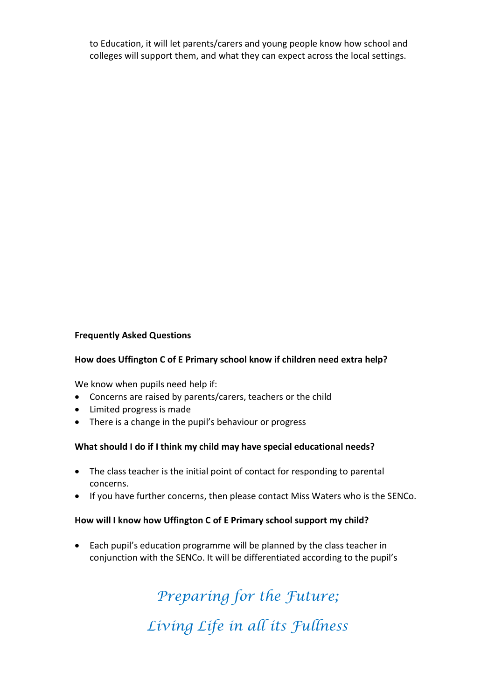to Education, it will let parents/carers and young people know how school and colleges will support them, and what they can expect across the local settings.

#### Frequently Asked Questions

#### How does Uffington C of E Primary school know if children need extra help?

We know when pupils need help if:

- Concerns are raised by parents/carers, teachers or the child
- Limited progress is made
- There is a change in the pupil's behaviour or progress

#### What should I do if I think my child may have special educational needs?

- The class teacher is the initial point of contact for responding to parental concerns.
- If you have further concerns, then please contact Miss Waters who is the SENCo.

#### How will I know how Uffington C of E Primary school support my child?

 Each pupil's education programme will be planned by the class teacher in conjunction with the SENCo. It will be differentiated according to the pupil's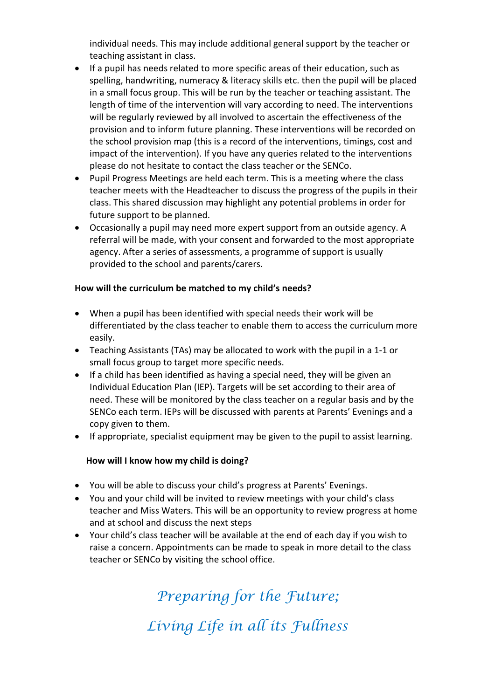individual needs. This may include additional general support by the teacher or teaching assistant in class.

- If a pupil has needs related to more specific areas of their education, such as spelling, handwriting, numeracy & literacy skills etc. then the pupil will be placed in a small focus group. This will be run by the teacher or teaching assistant. The length of time of the intervention will vary according to need. The interventions will be regularly reviewed by all involved to ascertain the effectiveness of the provision and to inform future planning. These interventions will be recorded on the school provision map (this is a record of the interventions, timings, cost and impact of the intervention). If you have any queries related to the interventions please do not hesitate to contact the class teacher or the SENCo.
- Pupil Progress Meetings are held each term. This is a meeting where the class teacher meets with the Headteacher to discuss the progress of the pupils in their class. This shared discussion may highlight any potential problems in order for future support to be planned.
- Occasionally a pupil may need more expert support from an outside agency. A referral will be made, with your consent and forwarded to the most appropriate agency. After a series of assessments, a programme of support is usually provided to the school and parents/carers.

#### How will the curriculum be matched to my child's needs?

- When a pupil has been identified with special needs their work will be differentiated by the class teacher to enable them to access the curriculum more easily.
- Teaching Assistants (TAs) may be allocated to work with the pupil in a 1-1 or small focus group to target more specific needs.
- If a child has been identified as having a special need, they will be given an Individual Education Plan (IEP). Targets will be set according to their area of need. These will be monitored by the class teacher on a regular basis and by the SENCo each term. IEPs will be discussed with parents at Parents' Evenings and a copy given to them.
- If appropriate, specialist equipment may be given to the pupil to assist learning.

#### How will I know how my child is doing?

- You will be able to discuss your child's progress at Parents' Evenings.
- You and your child will be invited to review meetings with your child's class teacher and Miss Waters. This will be an opportunity to review progress at home and at school and discuss the next steps
- Your child's class teacher will be available at the end of each day if you wish to raise a concern. Appointments can be made to speak in more detail to the class teacher or SENCo by visiting the school office.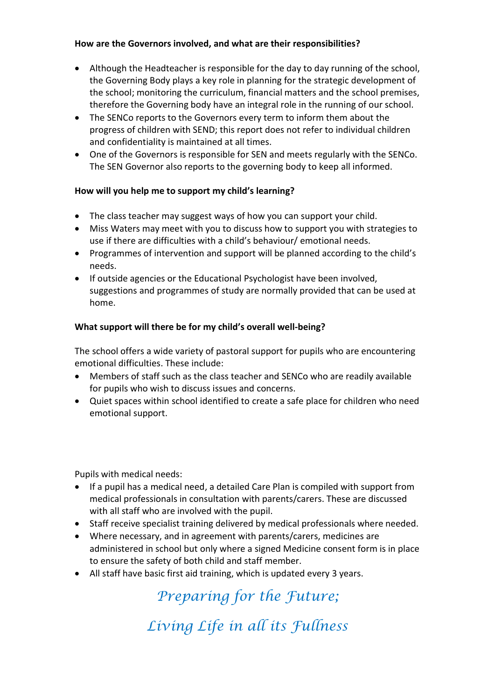#### How are the Governors involved, and what are their responsibilities?

- Although the Headteacher is responsible for the day to day running of the school, the Governing Body plays a key role in planning for the strategic development of the school; monitoring the curriculum, financial matters and the school premises, therefore the Governing body have an integral role in the running of our school.
- The SENCo reports to the Governors every term to inform them about the progress of children with SEND; this report does not refer to individual children and confidentiality is maintained at all times.
- One of the Governors is responsible for SEN and meets regularly with the SENCo. The SEN Governor also reports to the governing body to keep all informed.

# How will you help me to support my child's learning?

- The class teacher may suggest ways of how you can support your child.
- Miss Waters may meet with you to discuss how to support you with strategies to use if there are difficulties with a child's behaviour/ emotional needs.
- Programmes of intervention and support will be planned according to the child's needs.
- If outside agencies or the Educational Psychologist have been involved, suggestions and programmes of study are normally provided that can be used at home.

# What support will there be for my child's overall well-being?

The school offers a wide variety of pastoral support for pupils who are encountering emotional difficulties. These include:

- Members of staff such as the class teacher and SENCo who are readily available for pupils who wish to discuss issues and concerns.
- Quiet spaces within school identified to create a safe place for children who need emotional support.

Pupils with medical needs:

- If a pupil has a medical need, a detailed Care Plan is compiled with support from medical professionals in consultation with parents/carers. These are discussed with all staff who are involved with the pupil.
- Staff receive specialist training delivered by medical professionals where needed.
- Where necessary, and in agreement with parents/carers, medicines are administered in school but only where a signed Medicine consent form is in place to ensure the safety of both child and staff member.
- All staff have basic first aid training, which is updated every 3 years.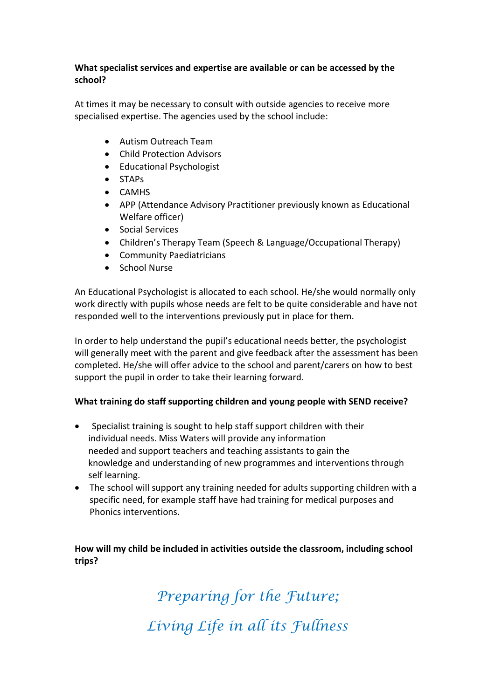#### What specialist services and expertise are available or can be accessed by the school?

At times it may be necessary to consult with outside agencies to receive more specialised expertise. The agencies used by the school include:

- Autism Outreach Team
- Child Protection Advisors
- Educational Psychologist
- STAPs
- CAMHS
- APP (Attendance Advisory Practitioner previously known as Educational Welfare officer)
- Social Services
- Children's Therapy Team (Speech & Language/Occupational Therapy)
- Community Paediatricians
- School Nurse

An Educational Psychologist is allocated to each school. He/she would normally only work directly with pupils whose needs are felt to be quite considerable and have not responded well to the interventions previously put in place for them.

In order to help understand the pupil's educational needs better, the psychologist will generally meet with the parent and give feedback after the assessment has been completed. He/she will offer advice to the school and parent/carers on how to best support the pupil in order to take their learning forward.

#### What training do staff supporting children and young people with SEND receive?

- Specialist training is sought to help staff support children with their individual needs. Miss Waters will provide any information needed and support teachers and teaching assistants to gain the knowledge and understanding of new programmes and interventions through self learning.
- The school will support any training needed for adults supporting children with a specific need, for example staff have had training for medical purposes and Phonics interventions.

How will my child be included in activities outside the classroom, including school trips?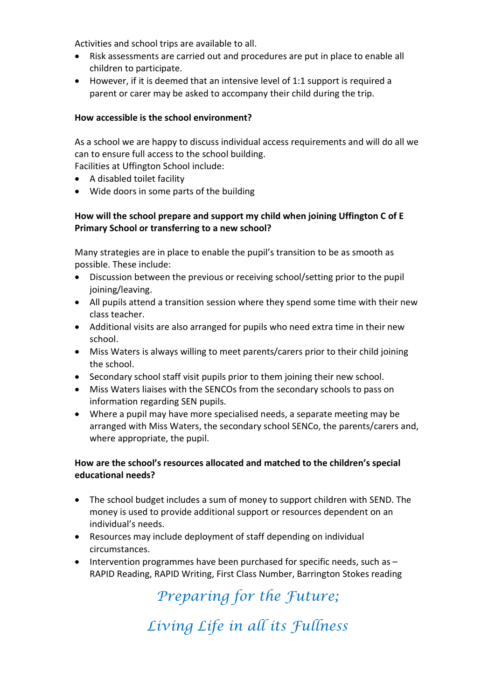Activities and school trips are available to all.

- Risk assessments are carried out and procedures are put in place to enable all children to participate.
- However, if it is deemed that an intensive level of 1:1 support is required a parent or carer may be asked to accompany their child during the trip.

#### How accessible is the school environment?

As a school we are happy to discuss individual access requirements and will do all we can to ensure full access to the school building.

Facilities at Uffington School include:

- A disabled toilet facility
- Wide doors in some parts of the building

# How will the school prepare and support my child when joining Uffington C of E Primary School or transferring to a new school?

Many strategies are in place to enable the pupil's transition to be as smooth as possible. These include:

- Discussion between the previous or receiving school/setting prior to the pupil joining/leaving.
- All pupils attend a transition session where they spend some time with their new class teacher.
- Additional visits are also arranged for pupils who need extra time in their new school.
- Miss Waters is always willing to meet parents/carers prior to their child joining the school.
- Secondary school staff visit pupils prior to them joining their new school.
- Miss Waters liaises with the SENCOs from the secondary schools to pass on information regarding SEN pupils.
- Where a pupil may have more specialised needs, a separate meeting may be arranged with Miss Waters, the secondary school SENCo, the parents/carers and, where appropriate, the pupil.

#### How are the school's resources allocated and matched to the children's special educational needs?

- The school budget includes a sum of money to support children with SEND. The money is used to provide additional support or resources dependent on an individual's needs.
- Resources may include deployment of staff depending on individual circumstances.
- $\bullet$  Intervention programmes have been purchased for specific needs, such as  $-$ RAPID Reading, RAPID Writing, First Class Number, Barrington Stokes reading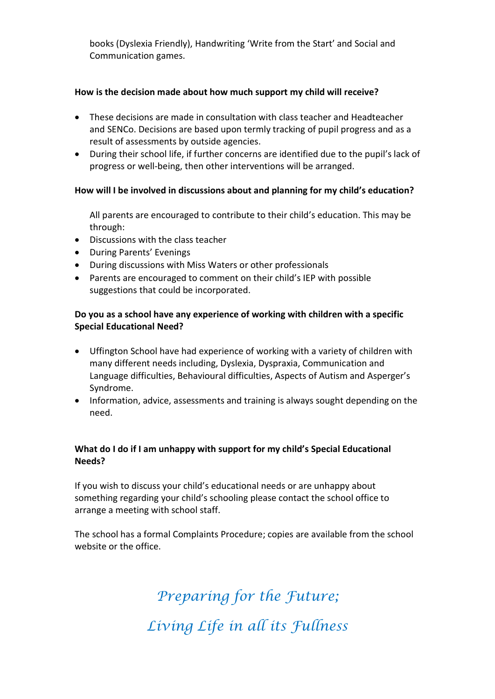books (Dyslexia Friendly), Handwriting 'Write from the Start' and Social and Communication games.

#### How is the decision made about how much support my child will receive?

- These decisions are made in consultation with class teacher and Headteacher and SENCo. Decisions are based upon termly tracking of pupil progress and as a result of assessments by outside agencies.
- During their school life, if further concerns are identified due to the pupil's lack of progress or well-being, then other interventions will be arranged.

#### How will I be involved in discussions about and planning for my child's education?

All parents are encouraged to contribute to their child's education. This may be through:

- Discussions with the class teacher
- During Parents' Evenings
- During discussions with Miss Waters or other professionals
- Parents are encouraged to comment on their child's IEP with possible suggestions that could be incorporated.

#### Do you as a school have any experience of working with children with a specific Special Educational Need?

- Uffington School have had experience of working with a variety of children with many different needs including, Dyslexia, Dyspraxia, Communication and Language difficulties, Behavioural difficulties, Aspects of Autism and Asperger's Syndrome.
- Information, advice, assessments and training is always sought depending on the need.

#### What do I do if I am unhappy with support for my child's Special Educational Needs?

If you wish to discuss your child's educational needs or are unhappy about something regarding your child's schooling please contact the school office to arrange a meeting with school staff.

The school has a formal Complaints Procedure; copies are available from the school website or the office.